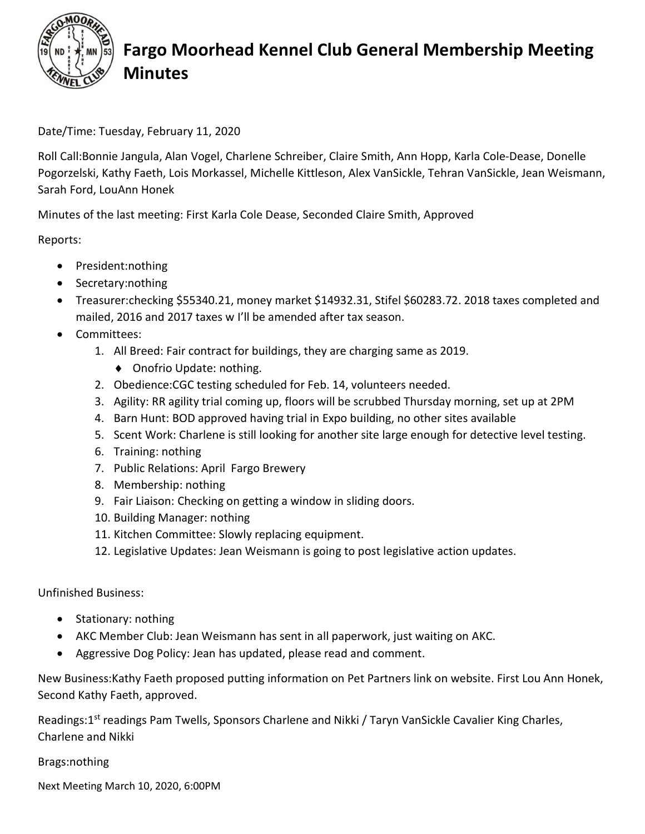

## Fargo Moorhead Kennel Club General Membership Meeting Minutes

Date/Time: Tuesday, February 11, 2020

Roll Call:Bonnie Jangula, Alan Vogel, Charlene Schreiber, Claire Smith, Ann Hopp, Karla Cole-Dease, Donelle Pogorzelski, Kathy Faeth, Lois Morkassel, Michelle Kittleson, Alex VanSickle, Tehran VanSickle, Jean Weismann, Sarah Ford, LouAnn Honek

Minutes of the last meeting: First Karla Cole Dease, Seconded Claire Smith, Approved

Reports:

- President:nothing
- Secretary:nothing
- Treasurer:checking \$55340.21, money market \$14932.31, Stifel \$60283.72. 2018 taxes completed and mailed, 2016 and 2017 taxes w I'll be amended after tax season.
- Committees:
	- 1. All Breed: Fair contract for buildings, they are charging same as 2019.
		- ◆ Onofrio Update: nothing.
	- 2. Obedience:CGC testing scheduled for Feb. 14, volunteers needed.
	- 3. Agility: RR agility trial coming up, floors will be scrubbed Thursday morning, set up at 2PM
	- 4. Barn Hunt: BOD approved having trial in Expo building, no other sites available
	- 5. Scent Work: Charlene is still looking for another site large enough for detective level testing.
	- 6. Training: nothing
	- 7. Public Relations: April Fargo Brewery
	- 8. Membership: nothing
	- 9. Fair Liaison: Checking on getting a window in sliding doors.
	- 10. Building Manager: nothing
	- 11. Kitchen Committee: Slowly replacing equipment.
	- 12. Legislative Updates: Jean Weismann is going to post legislative action updates.

Unfinished Business:

- Stationary: nothing
- AKC Member Club: Jean Weismann has sent in all paperwork, just waiting on AKC.
- Aggressive Dog Policy: Jean has updated, please read and comment.

New Business:Kathy Faeth proposed putting information on Pet Partners link on website. First Lou Ann Honek, Second Kathy Faeth, approved.

Readings:1<sup>st</sup> readings Pam Twells, Sponsors Charlene and Nikki / Taryn VanSickle Cavalier King Charles, Charlene and Nikki

Brags:nothing

Next Meeting March 10, 2020, 6:00PM